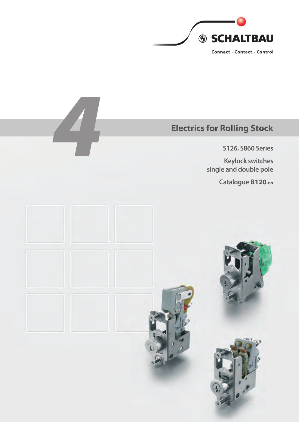

**S126, S860 Series**

Electrics for Rolling Stock<br>S126, S860 Series<br>Keylock switches<br>single and double pole **Keylock switches single and double pole**

**Catalogue B120***.en*

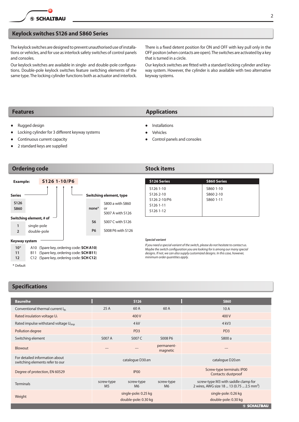### **Keylock switches S126 and S860 Series**

The keylock switches are designed to prevent unauthorised use of installations or vehicles, and for use as interlock safety switches of control panels and consoles.

Our keylock switches are available in single- and double-pole configurations. Double-pole keylock switches feature switching elements of the same type. The locking cylinder functions both as actuator and interlock. There is a fixed detent position for ON and OFF with key pull only in the OFF positon (when contacts are open). The switches are activated by a key that is turned in a circle.

Our keylock switches are fitted with a standard locking cylinder and keyway system. However, the cylinder is also available with two alternative keyway systems.

**Features Applications** 

Installations Vehicles

Control panels and consoles

- **Rugged design**
- Locking cylinder for 3 different keyway systems
- Continuous current capacity
- 2 standard keys are supplied

### **Ordering code 32 Stock items**



**S126 Series S860 Series** S126 1-10 S126 2-10 S126 2-10/P6 S126 1-11 S126 1-12 S860 1-10 S860 2-10 S860 1-11

### *Special variant*

*If you need a special variant of the switch, please do not hesitate to contact us. Maybe the switch configuration you are looking for is among our many special designs. If not, we can also supply customized designs. In this case, however, minimum order quantities apply.*

\* Default

### **Specifications**

| <b>Baureihe</b>                                                   |                              | <b>S126</b>                                  |                              | <b>S860</b>                                                                                  |
|-------------------------------------------------------------------|------------------------------|----------------------------------------------|------------------------------|----------------------------------------------------------------------------------------------|
| Conventional thermal current Ith                                  | 25A                          | 60 A                                         | 60 A                         | 10A                                                                                          |
| Rated insulation voltage U <sub>i</sub>                           |                              | 400 V                                        |                              | 400 V                                                                                        |
| Rated impulse withstand voltage U <sub>imp</sub>                  |                              | $4$ kV                                       |                              | $4$ kV <sub>3</sub>                                                                          |
| Pollution degree                                                  |                              | PD <sub>3</sub>                              |                              | PD <sub>3</sub>                                                                              |
| Switching element                                                 | S007 A                       | S007 C                                       | S008 P6                      | S800 a                                                                                       |
| Blowout                                                           | ---                          |                                              | permanent-<br>magnetic       | ---                                                                                          |
| For detailed information about<br>switching elements refer to our | catalogue D30.en             |                                              |                              | catalogue D20.en                                                                             |
| Degree of protection, EN 60529                                    | IP <sub>00</sub>             |                                              |                              | Screw-type terminals: IP00<br>Contacts: dustproof                                            |
| <b>Terminals</b>                                                  | screw-type<br>M <sub>5</sub> | screw-type<br>M <sub>6</sub>                 | screw-type<br>M <sub>6</sub> | screw-type M3 with saddle clamp for<br>2 wires, AWG size 18  13 (0.75  2.5 mm <sup>2</sup> ) |
| Weight                                                            |                              | single-pole: 0.25 kg<br>double-pole: 0.30 kg |                              | single-pole: 0.26 kg<br>double-pole: 0.30 kg                                                 |
|                                                                   |                              |                                              |                              | <b>SSCHALTBAU</b>                                                                            |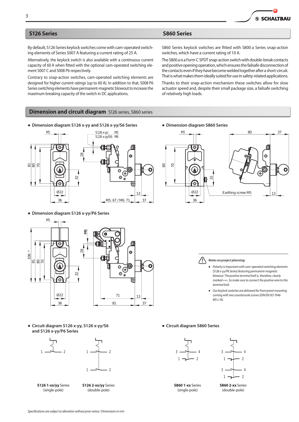### **S126 Series S860 Series**

By default, S126 Series keylock switches come with cam-operated switching elements of Series S007 A featuring a current rating of 25 A.

Alternatively, the keylock switch is also available with a continuous current capacity of 60 A when fitted with the optional cam-operated switching element S007 C and S008 P6 respectively.

Contrary to snap-action switches, cam-operated switching elements are designed for higher current ratings (up to 60 A). In addition to that, S008 P6 Series switching elements have permanent-magnetic blowout to increase the maximum breaking capacity of the switch in DC applications.

S860 Series keylock switches are fitted with S800 a Series snap-action switches, which have a current rating of 10 A.

The S800 a is a Form C SPDT snap-action switch with double-break contacts and positive opening operation, which ensures the failsafe disconnection of the contacts even if they have become welded together after a short-circuit. That is what makes them ideally suited for use in safety-related applications.

Thanks to their snap-action mechanism these switches allow for slow actuator speed and, despite their small package size, a failsafe switching of relatively high loads.

### **Dimension and circuit diagram** S126 series, S860 series

● **Dimension diagram S126 x-yy and S126 x-yy/S6 Series** ● **Dimension diagram S860 Series**



● **Dimension diagram S126 x-yy/P6 Series**



● **Circuit diagram S126 x-yy, S126 x-yy/S6 and S126 x-yy/P6 Series**



**S126 1-xx/yy** Series **S126 2-xx/yy** Series (single-pole) (double-pole)





*Notes on project planning:*

- *Polarity is important with cam-operated switching elements (S126 x-yy/P6 Series) featuring permanent-magnetic blowout. The positive terminal bolt is, therefore, clearly marked »+«. So make sure to connect the positive wire to this terminal bolt.*
- *Our keylock switches are delivered for front panel mounting coming with two countersunk screws (DIN EN ISO7046 M5 x 16).*

● **Circuit diagram S860 Series**





**S860 1-xx** Series **S860 2-xx** Series (single-pole) (double-pole)